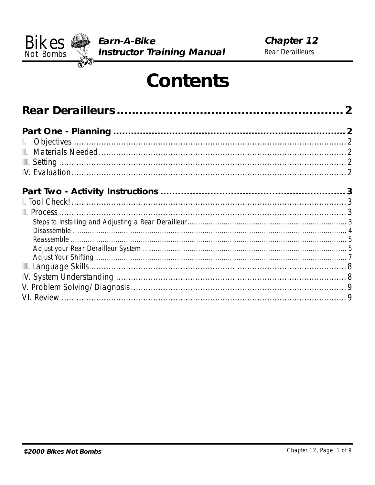

# **Contents**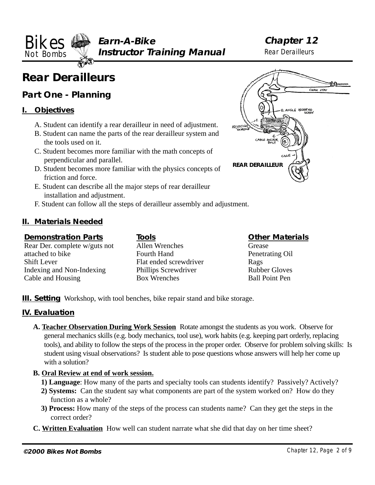<span id="page-1-0"></span>**Earn-A-Bike Not Bombs Well Instructor Training Manual** Rear Derailleurs **Bikes** Earn-A-Bike **Chapter 12**<br>Not Rember **Structure of Training Manual** Rear Derailleurs

# **Rear Derailleurs**

# **Part One - Planning**

#### **I. Objectives**

- A. Student can identify a rear derailleur in need of adjustment.
- B. Student can name the parts of the rear derailleur system and the tools used on it.
- C. Student becomes more familiar with the math concepts of perpendicular and parallel.
- D. Student becomes more familiar with the physics concepts of friction and force.
- E. Student can describe all the major steps of rear derailleur installation and adjustment.
- F. Student can follow all the steps of derailleur assembly and adjustment.

### **II. Materials Needed**

#### **Demonstration Parts**

Rear Der. complete w/guts not attached to bike Shift Lever Indexing and Non-Indexing Cable and Housing

**Tools** Allen Wrenches Fourth Hand Flat ended screwdriver Phillips Screwdriver Box Wrenches

#### **Other Materials**

Grease Penetrating Oil Rags Rubber Gloves Ball Point Pen

**III. Setting** Workshop, with tool benches, bike repair stand and bike storage.

### **IV. Evaluation**

**A. Teacher Observation During Work Session** Rotate amongst the students as you work. Observe for general mechanics skills (e.g. body mechanics, tool use), work habits (e.g. keeping part orderly, replacing tools), and ability to follow the steps of the process in the proper order. Observe for problem solving skills: Is student using visual observations? Is student able to pose questions whose answers will help her come up with a solution?

#### **B. Oral Review at end of work session.**

- **1) Language**: How many of the parts and specialty tools can students identify? Passively? Actively?
- **2) Systems:** Can the student say what components are part of the system worked on? How do they function as a whole?
- **3) Process:** How many of the steps of the process can students name? Can they get the steps in the correct order?
- **C. Written Evaluation** How well can student narrate what she did that day on her time sheet?

ANGLE ADJUSTING **ADJUSTING** C-<br>CABLE ANCHOR **REAR DERAILLEUR**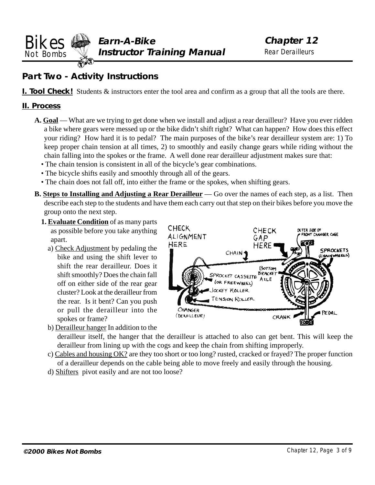<span id="page-2-0"></span>**Earn-A-Bike Not Bombs Well Instructor Training Manual** Rear Derailleurs **Chapter 12 Chapter 12 Chapter 12 Chapter 12 Chapter 12 Chapter 12 Chapter 12 Chapter 12 Rear Derailleurs** 

## **Part Two - Activity Instructions**

**I. Tool Check!** Students  $\&$  instructors enter the tool area and confirm as a group that all the tools are there.

#### **II. Process**

- **A. Goal**  What are we trying to get done when we install and adjust a rear derailleur? Have you ever ridden a bike where gears were messed up or the bike didn't shift right? What can happen? How does this effect your riding? How hard it is to pedal? The main purposes of the bike's rear derailleur system are: 1) To keep proper chain tension at all times, 2) to smoothly and easily change gears while riding without the chain falling into the spokes or the frame. A well done rear derailleur adjustment makes sure that:
	- The chain tension is consistent in all of the bicycle's gear combinations.
	- The bicycle shifts easily and smoothly through all of the gears.
	- The chain does not fall off, into either the frame or the spokes, when shifting gears.
- **B. Steps to Installing and Adjusting a Rear Derailleur** Go over the names of each step, as a list. Then describe each step to the students and have them each carry out that step on their bikes before you move the group onto the next step.
	- **1. Evaluate Condition** of as many parts as possible before you take anything apart.
		- a) Check Adjustment by pedaling the bike and using the shift lever to shift the rear derailleur. Does it shift smoothly? Does the chain fall off on either side of the rear gear cluster? Look at the derailleur from the rear. Is it bent? Can you push or pull the derailleur into the spokes or frame?
- **CHECK** CHECK OUTER SIDE OF **CONT CHANGER CAGE** ALIGNMENT GAP HERE HERE SPROCKETS CHAIN<sup>4</sup> **NNWHEELS**) BOTTOM SPROCKET CASSETTE BRACK **BRACKE** (OR FREEWHEEL) **OCKEY ROLLER** ENSION ROLLER CHANGER EDAL (DERAILLEUR) CRANK
- b) Derailleur hanger In addition to the

derailleur itself, the hanger that the derailleur is attached to also can get bent. This will keep the derailleur from lining up with the cogs and keep the chain from shifting improperly.

- c) Cables and housing OK? are they too short or too long? rusted, cracked or frayed? The proper function of a derailleur depends on the cable being able to move freely and easily through the housing.
- d) Shifters pivot easily and are not too loose?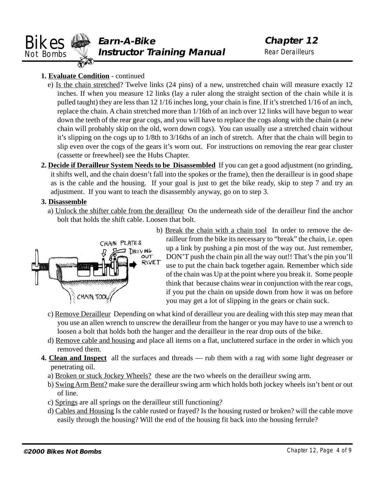<span id="page-3-0"></span>

#### **1. Evaluate Condition** - continued

- e) Is the chain stretched? Twelve links (24 pins) of a new, unstretched chain will measure exactly 12 inches. If when you measure 12 links (lay a ruler along the straight section of the chain while it is pulled taught) they are less than 12 1/16 inches long, your chain is fine. If it's stretched 1/16 of an inch, replace the chain. A chain stretched more than 1/16th of an inch over 12 links will have begun to wear down the teeth of the rear gear cogs, and you will have to replace the cogs along with the chain (a new chain will probably skip on the old, worn down cogs). You can usually use a stretched chain without it's slipping on the cogs up to 1/8th to 3/16ths of an inch of stretch. After that the chain will begin to slip even over the cogs of the gears it's worn out. For instructions on removing the rear gear cluster (cassette or freewheel) see the Hubs Chapter.
- **2. Decide if Derailleur System Needs to be Disassembled** If you can get a good adjustment (no grinding, it shifts well, and the chain doesn't fall into the spokes or the frame), then the derailleur is in good shape as is the cable and the housing. If your goal is just to get the bike ready, skip to step 7 and try an adjustment. If you want to teach the disassembly anyway, go on to step 3.

#### **3. Disassemble**

a) Unlock the shifter cable from the derailleur On the underneath side of the derailleur find the anchor bolt that holds the shift cable. Loosen that bolt.



b) Break the chain with a chain tool In order to remove the derailleur from the bike its necessary to "break" the chain, i.e. open up a link by pushing a pin most of the way out. Just remember, DON'T push the chain pin all the way out!! That's the pin you'll use to put the chain back together again. Remember which side of the chain was Up at the point where you break it. Some people think that because chains wear in conjunction with the rear cogs, if you put the chain on upside down from how it was on before you may get a lot of slipping in the gears or chain suck.

- c) Remove Derailleur Depending on what kind of derailleur you are dealing with this step may mean that you use an allen wrench to unscrew the derailleur from the hanger or you may have to use a wrench to loosen a bolt that holds both the hanger and the derailleur in the rear drop outs of the bike.
- d) Remove cable and housing and place all items on a flat, uncluttered surface in the order in which you removed them.
- **4. Clean and Inspect** all the surfaces and threads rub them with a rag with some light degreaser or penetrating oil.
	- a) Broken or stuck Jockey Wheels? these are the two wheels on the derailleur swing arm.
	- b) Swing Arm Bent? make sure the derailleur swing arm which holds both jockey wheels isn't bent or out of line.
	- c) Springs are all springs on the derailleur still functioning?
	- d) Cables and Housing Is the cable rusted or frayed? Is the housing rusted or broken? will the cable move easily through the housing? Will the end of the housing fit back into the housing ferrule?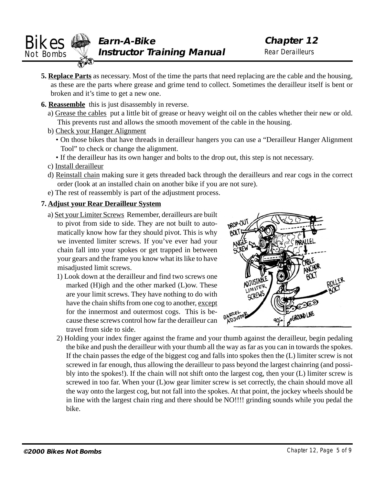<span id="page-4-0"></span>

- **5. Replace Parts** as necessary. Most of the time the parts that need replacing are the cable and the housing, as these are the parts where grease and grime tend to collect. Sometimes the derailleur itself is bent or broken and it's time to get a new one.
- **6. Reassemble** this is just disassembly in reverse.
	- a) Grease the cables put a little bit of grease or heavy weight oil on the cables whether their new or old. This prevents rust and allows the smooth movement of the cable in the housing.
	- b) Check your Hanger Alignment
		- On those bikes that have threads in derailleur hangers you can use a "Derailleur Hanger Alignment Tool" to check or change the alignment.
		- If the derailleur has its own hanger and bolts to the drop out, this step is not necessary.
	- c) Install derailleur
	- d) Reinstall chain making sure it gets threaded back through the derailleurs and rear cogs in the correct order (look at an installed chain on another bike if you are not sure).
	- e) The rest of reassembly is part of the adjustment process.

#### **7. Adjust your Rear Derailleur System**

- a) Set your Limiter Screws Remember, derailleurs are built to pivot from side to side. They are not built to automatically know how far they should pivot. This is why we invented limiter screws. If you've ever had your chain fall into your spokes or get trapped in between your gears and the frame you know what its like to have misadiusted limit screws.
	- 1) Look down at the derailleur and find two screws one marked (H)igh and the other marked (L)ow. These are your limit screws. They have nothing to do with have the chain shifts from one cog to another, except for the innermost and outermost cogs. This is because these screws control how far the derailleur can travel from side to side.



2) Holding your index finger against the frame and your thumb against the derailleur, begin pedaling the bike and push the derailleur with your thumb all the way as far as you can in towards the spokes. If the chain passes the edge of the biggest cog and falls into spokes then the (L) limiter screw is not screwed in far enough, thus allowing the derailleur to pass beyond the largest chainring (and possibly into the spokes!). If the chain will not shift onto the largest cog, then your (L) limiter screw is screwed in too far. When your (L)ow gear limiter screw is set correctly, the chain should move all the way onto the largest cog, but not fall into the spokes. At that point, the jockey wheels should be in line with the largest chain ring and there should be NO!!!! grinding sounds while you pedal the bike.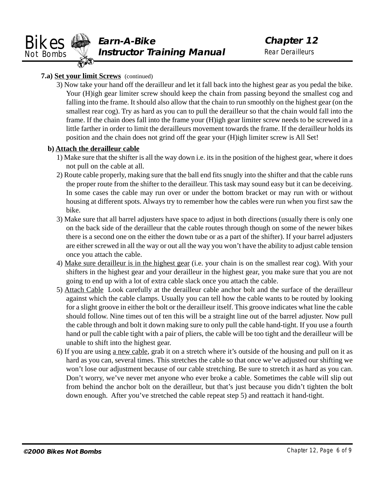#### **7.a) Set your limit Screws** (continued)

3) Now take your hand off the derailleur and let it fall back into the highest gear as you pedal the bike. Your (H)igh gear limiter screw should keep the chain from passing beyond the smallest cog and falling into the frame. It should also allow that the chain to run smoothly on the highest gear (on the smallest rear cog). Try as hard as you can to pull the derailleur so that the chain would fall into the frame. If the chain does fall into the frame your (H)igh gear limiter screw needs to be screwed in a little farther in order to limit the derailleurs movement towards the frame. If the derailleur holds its position and the chain does not grind off the gear your (H)igh limiter screw is All Set!

#### **b) Attach the derailleur cable**

- 1) Make sure that the shifter is all the way down i.e. its in the position of the highest gear, where it does not pull on the cable at all.
- 2) Route cable properly, making sure that the ball end fits snugly into the shifter and that the cable runs the proper route from the shifter to the derailleur. This task may sound easy but it can be deceiving. In some cases the cable may run over or under the bottom bracket or may run with or without housing at different spots. Always try to remember how the cables were run when you first saw the bike.
- 3) Make sure that all barrel adjusters have space to adjust in both directions (usually there is only one on the back side of the derailleur that the cable routes through though on some of the newer bikes there is a second one on the either the down tube or as a part of the shifter). If your barrel adjusters are either screwed in all the way or out all the way you won't have the ability to adjust cable tension once you attach the cable.
- 4) Make sure derailleur is in the highest gear (i.e. your chain is on the smallest rear cog). With your shifters in the highest gear and your derailleur in the highest gear, you make sure that you are not going to end up with a lot of extra cable slack once you attach the cable.
- 5) Attach Cable Look carefully at the derailleur cable anchor bolt and the surface of the derailleur against which the cable clamps. Usually you can tell how the cable wants to be routed by looking for a slight groove in either the bolt or the derailleur itself. This groove indicates what line the cable should follow. Nine times out of ten this will be a straight line out of the barrel adjuster. Now pull the cable through and bolt it down making sure to only pull the cable hand-tight. If you use a fourth hand or pull the cable tight with a pair of pliers, the cable will be too tight and the derailleur will be unable to shift into the highest gear.
- 6) If you are using a new cable, grab it on a stretch where it's outside of the housing and pull on it as hard as you can, several times. This stretches the cable so that once we've adjusted our shifting we won't lose our adjustment because of our cable stretching. Be sure to stretch it as hard as you can. Don't worry, we've never met anyone who ever broke a cable. Sometimes the cable will slip out from behind the anchor bolt on the derailleur, but that's just because you didn't tighten the bolt down enough. After you've stretched the cable repeat step 5) and reattach it hand-tight.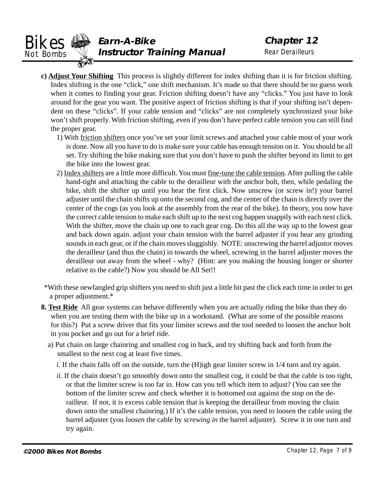<span id="page-6-0"></span>

- **c) Adjust Your Shifting** This process is slightly different for index shifting than it is for friction shifting. Index shifting is the one "click," one shift mechanism. It's made so that there should be no guess work when it comes to finding your gear. Friction shifting doesn't have any "clicks." You just have to look around for the gear you want. The positive aspect of friction shifting is that if your shifting isn't dependent on these "clicks". If your cable tension and "clicks" are not completely synchronized your bike won't shift properly. With friction shifting, even if you don't have perfect cable tension you can still find the proper gear.
	- 1) With friction shifters once you've set your limit screws and attached your cable most of your work is done. Now all you have to do is make sure your cable has enough tension on it. You should be all set. Try shifting the bike making sure that you don't have to push the shifter beyond its limit to get the bike into the lowest gear.
	- 2) Index shifters are a little more difficult. You must fine-tune the cable tension. After pulling the cable hand-tight and attaching the cable to the derailleur with the anchor bolt, then, while pedaling the bike, shift the shifter up until you hear the first click. Now unscrew (or screw in!) your barrel adjuster until the chain shifts up onto the second cog, and the center of the chain is directly over the center of the cogs (as you look at the assembly from the rear of the bike). In theory, you now have the correct cable tension to make each shift up to the next cog happen snappily with each next click. With the shifter, move the chain up one to each gear cog. Do this all the way up to the lowest gear and back down again. adjust your chain tension with the barrel adjuster if you hear any grinding sounds in each gear, or if the chain moves sluggishly. NOTE: unscrewing the barrel adjustor moves the derailleur (and thus the chain) in towards the wheel, screwing in the barrel adjuster moves the derailleur out away from the wheel - why? (Hint: are you making the housing longer or shorter relative to the cable?) Now you should be All Set!!
- \*With these newfangled grip shifters you need to shift just a little bit past the click each time in order to get a proper adjustment.\*
- **8. Test Ride** All gear systems can behave differently when you are actually riding the bike than they do when you are testing them with the bike up in a workstand. (What are some of the possible reasons for this?) Put a screw driver that fits your limiter screws and the tool needed to loosen the anchor bolt in you pocket and go out for a brief ride.
	- a) Put chain on large chainring and smallest cog in back, and try shifting back and forth from the smallest to the next cog at least five times.
		- *i.* If the chain falls off on the outside, turn the (H)igh gear limiter screw in  $1/4$  turn and try again.
		- *ii.* If the chain doesn't go smoothly down onto the smallest cog, it could be that the cable is too tight, or that the limiter screw is too far in. How can you tell which item to adjust? (You can see the bottom of the limiter screw and check whether it is bottomed out against the stop on the derailleur. If not, it is excess cable tension that is keeping the derailleur from moving the chain down onto the smallest chainring.) If it's the cable tension, you need to loosen the cable using the barrel adjuster (you *loosen* the cable by *screwing in* the barrel adjuster). Screw it in one turn and try again.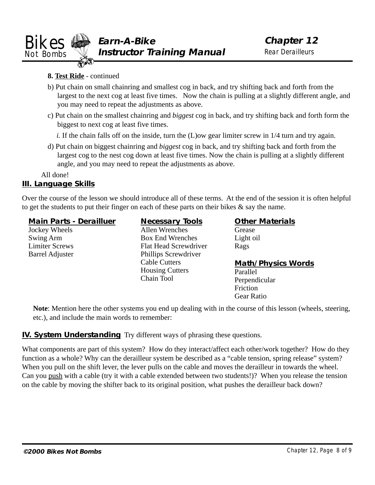<span id="page-7-0"></span>

#### **8. Test Ride** - continued

- b) Put chain on small chainring and smallest cog in back, and try shifting back and forth from the largest to the next cog at least five times. Now the chain is pulling at a slightly different angle, and you may need to repeat the adjustments as above.
- c) Put chain on the smallest chainring and *biggest* cog in back, and try shifting back and forth form the biggest to next cog at least five times.

*i.* If the chain falls off on the inside, turn the (L)ow gear limiter screw in 1/4 turn and try again.

d) Put chain on biggest chainring and *biggest* cog in back, and try shifting back and forth from the largest cog to the nest cog down at least five times. Now the chain is pulling at a slightly different angle, and you may need to repeat the adjustments as above.

All done!

#### **III. Language Skills**

Over the course of the lesson we should introduce all of these terms. At the end of the session it is often helpful to get the students to put their finger on each of these parts on their bikes & say the name.

#### **Main Parts - Derailluer**

Jockey Wheels Swing Arm Limiter Screws Barrel Adjuster

**Necessary Tools** Allen Wrenches Box End Wrenches Flat Head Screwdriver Phillips Screwdriver Cable Cutters Housing Cutters Chain Tool

**Other Materials** Grease Light oil Rags

#### **Math/Physics Words**

Parallel Perpendicular Friction Gear Ratio

**Note**: Mention here the other systems you end up dealing with in the course of this lesson (wheels, steering, etc.), and include the main words to remember:

#### **IV. System Understanding** Try different ways of phrasing these questions.

What components are part of this system? How do they interact/affect each other/work together? How do they function as a whole? Why can the derailleur system be described as a "cable tension, spring release" system? When you pull on the shift lever, the lever pulls on the cable and moves the derailleur in towards the wheel. Can you push with a cable (try it with a cable extended between two students!)? When you release the tension on the cable by moving the shifter back to its original position, what pushes the derailleur back down?